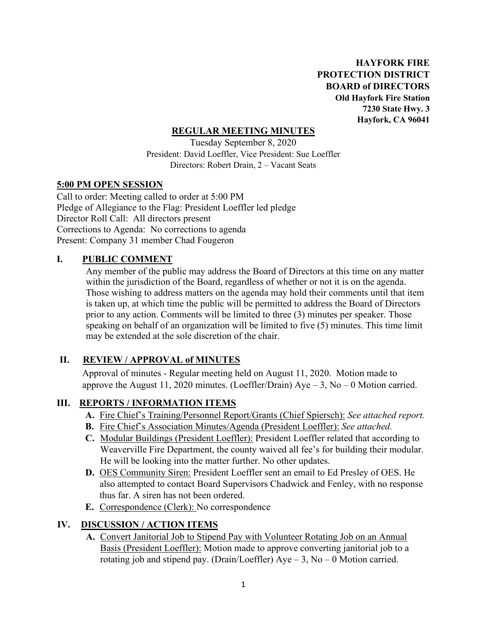**HAYFORK FIRE PROTECTION DISTRICT BOARD of DIRECTORS Old Hayfork Fire Station 7230 State Hwy. 3 Hayfork, CA 96041** 

#### **REGULAR MEETING MINUTES**

Tuesday September 8, 2020 President: David Loeffler, Vice President: Sue Loeffler Directors: Robert Drain, 2 – Vacant Seats

#### **5:00 PM OPEN SESSION**

Call to order: Meeting called to order at 5:00 PM Pledge of Allegiance to the Flag: President Loeffler led pledge Director Roll Call: All directors present Corrections to Agenda: No corrections to agenda Present: Company 31 member Chad Fougeron

## **I. PUBLIC COMMENT**

Any member of the public may address the Board of Directors at this time on any matter within the jurisdiction of the Board, regardless of whether or not it is on the agenda. Those wishing to address matters on the agenda may hold their comments until that item is taken up, at which time the public will be permitted to address the Board of Directors prior to any action. Comments will be limited to three (3) minutes per speaker. Those speaking on behalf of an organization will be limited to five (5) minutes. This time limit may be extended at the sole discretion of the chair.

## **II. REVIEW / APPROVAL of MINUTES**

 Approval of minutes - Regular meeting held on August 11, 2020. Motion made to approve the August 11, 2020 minutes. (Loeffler/Drain)  $Aye - 3$ , No – 0 Motion carried.

## **III. REPORTS / INFORMATION ITEMS**

- **A.** Fire Chief's Training/Personnel Report/Grants (Chief Spiersch): *See attached report.*
- **B.** Fire Chief's Association Minutes/Agenda (President Loeffler): *See attached.*
- **C.** Modular Buildings (President Loeffler): President Loeffler related that according to Weaverville Fire Department, the county waived all fee's for building their modular. He will be looking into the matter further. No other updates.
- **D.** OES Community Siren: President Loeffler sent an email to Ed Presley of OES. He also attempted to contact Board Supervisors Chadwick and Fenley, with no response thus far. A siren has not been ordered.
- **E.** Correspondence (Clerk): No correspondence

## **IV. DISCUSSION / ACTION ITEMS**

**A.** Convert Janitorial Job to Stipend Pay with Volunteer Rotating Job on an Annual Basis (President Loeffler): Motion made to approve converting janitorial job to a rotating job and stipend pay. (Drain/Loeffler)  $Aye - 3$ ,  $No - 0$  Motion carried.